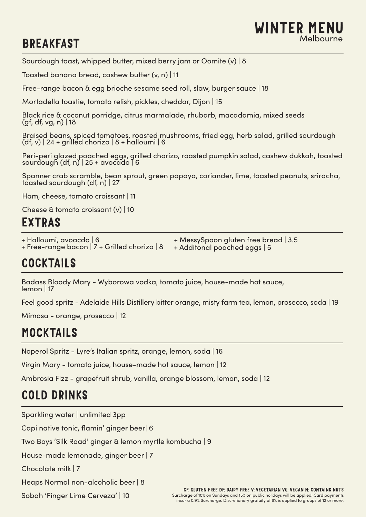#### WINTER MENU Melbourne

## BREAKFAST

Sourdough toast, whipped butter, mixed berry jam or Oomite (v) | 8

Toasted banana bread, cashew butter (v, n) | 11

Free-range bacon & egg brioche sesame seed roll, slaw, burger sauce | 18

Mortadella toastie, tomato relish, pickles, cheddar, Dijon | 15

Black rice & coconut porridge, citrus marmalade, rhubarb, macadamia, mixed seeds (gf, df, vg, n) | 18

Braised beans, spiced tomatoes, roasted mushrooms, fried egg, herb salad, grilled sourdough  $(df, v)$  | 24 + grilled chorizo | 8 + halloumi | 6

Peri-peri glazed poached eggs, grilled chorizo, roasted pumpkin salad, cashew dukkah, toasted sourdough (df, n) | 25 + avocado | 6

Spanner crab scramble, bean sprout, green papaya, coriander, lime, toasted peanuts, sriracha, toasted sourdough (df, n) | 27

Ham, cheese, tomato croissant | 11

Cheese & tomato croissant (v) | 10

#### EXTRAS

+ Halloumi, avoacdo | 6

+ Free-range bacon | 7 + Grilled chorizo | 8 + MessySpoon gluten free bread | 3.5

#### + Additonal poached eggs | 5

### COCKTAILS

Badass Bloody Mary - Wyborowa vodka, tomato juice, house-made hot sauce, lemon | 17

Feel good spritz - Adelaide Hills Distillery bitter orange, misty farm tea, lemon, prosecco, soda | 19

Mimosa - orange, prosecco | 12

#### MOCKTAILS

Noperol Spritz - Lyre's Italian spritz, orange, lemon, soda | 16

Virgin Mary - tomato juice, house-made hot sauce, lemon | 12

Ambrosia Fizz - grapefruit shrub, vanilla, orange blossom, lemon, soda | 12

### COLD DRINKS

Sparkling water | unlimited 3pp Capi native tonic, flamin' ginger beer| 6 Two Boys 'Silk Road' ginger & lemon myrtle kombucha | 9 House-made lemonade, ginger beer | 7 Chocolate milk | 7 Heaps Normal non-alcoholic beer | 8 Sobah 'Finger Lime Cerveza' | 10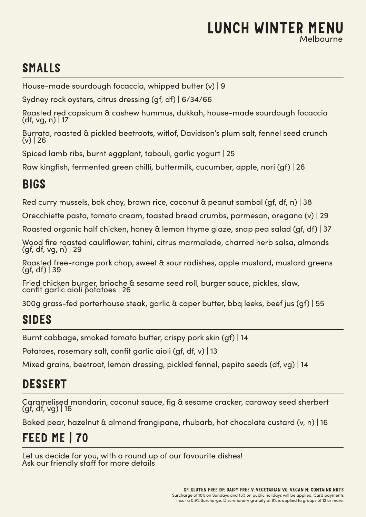#### LUNCH WINTER MENU Melbourne

### SMALLS

House-made sourdough focaccia, whipped butter  $(v)$  | 9

Sydney rock oysters, citrus dressing (gf, df) | 6/34/66

Roasted red capsicum & cashew hummus, dukkah, house-made sourdough focaccia  $(df, vg, n) | 17$ 

Burrata, roasted & pickled beetroots, witlof, Davidson's plum salt, fennel seed crunch  $(v)$  | 26

Spiced lamb ribs, burnt eggplant, tabouli, garlic yogurt | 25

Raw kingfish, fermented green chilli, buttermilk, cucumber, apple, nori (gf) | 26

## BIGS

Red curry mussels, bok choy, brown rice, coconut & peanut sambal (gf, df, n) | 38

Orecchiette pasta, tomato cream, toasted bread crumbs, parmesan, oregano (v) | 29

Roasted organic half chicken, honey & lemon thyme glaze, snap pea salad (gf, df) | 37

Wood fire roasted cauliflower, tahini, citrus marmalade, charred herb salsa, almonds  $(gf, df, vg, n)$  | 29

Roasted free-range pork chop, sweet & sour radishes, apple mustard, mustard greens  $(gf, df)$  39

Fried chicken burger, brioche & sesame seed roll, burger sauce, pickles, slaw, confit garlic aioli potatoes | 26

300g grass-fed porterhouse steak, garlic & caper butter, bbq leeks, beef jus (gf) | 55

# SIDES

Burnt cabbage, smoked tomato butter, crispy pork skin (gf) | 14

Potatoes, rosemary salt, confit garlic aioli (gf, df, v) | 13

Mixed grains, beetroot, lemon dressing, pickled fennel, pepita seeds (df, vg) | 14

# DESSERT

Caramelised mandarin, coconut sauce, fig & sesame cracker, caraway seed sherbert  $(gf, df, vg)$  | 16

Baked pear, hazelnut & almond frangipane, rhubarb, hot chocolate custard (v, n) | 16

# FEED ME | 70

Let us decide for you, with a round up of our favourite dishes! Ask our friendly staff for more details